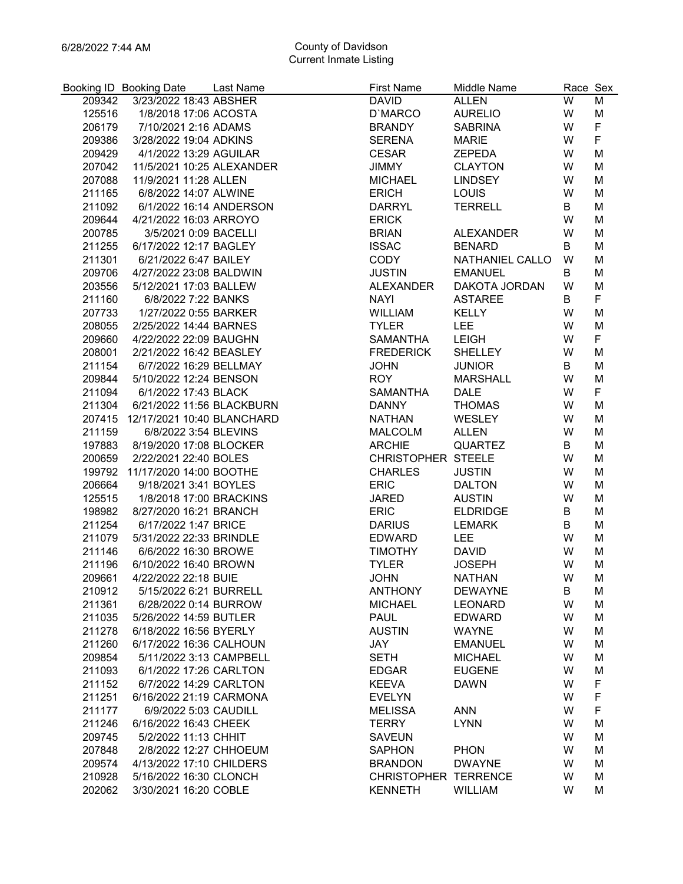|        | Booking ID Booking Date           | Last Name | <b>First Name</b>           | Middle Name      | Race Sex |                  |
|--------|-----------------------------------|-----------|-----------------------------|------------------|----------|------------------|
| 209342 | 3/23/2022 18:43 ABSHER            |           | <b>DAVID</b>                | <b>ALLEN</b>     | W        | M                |
| 125516 | 1/8/2018 17:06 ACOSTA             |           | D'MARCO                     | <b>AURELIO</b>   | W        | M                |
| 206179 | 7/10/2021 2:16 ADAMS              |           | <b>BRANDY</b>               | <b>SABRINA</b>   | W        | F                |
| 209386 | 3/28/2022 19:04 ADKINS            |           | <b>SERENA</b>               | <b>MARIE</b>     | W        | F                |
| 209429 | 4/1/2022 13:29 AGUILAR            |           | <b>CESAR</b>                | <b>ZEPEDA</b>    | W        | M                |
| 207042 | 11/5/2021 10:25 ALEXANDER         |           | JIMMY                       | <b>CLAYTON</b>   | W        | M                |
| 207088 | 11/9/2021 11:28 ALLEN             |           | <b>MICHAEL</b>              | <b>LINDSEY</b>   | W        | M                |
| 211165 | 6/8/2022 14:07 ALWINE             |           | <b>ERICH</b>                | LOUIS            | W        | M                |
| 211092 | 6/1/2022 16:14 ANDERSON           |           | <b>DARRYL</b>               | <b>TERRELL</b>   | B        | M                |
| 209644 | 4/21/2022 16:03 ARROYO            |           | <b>ERICK</b>                |                  | W        | M                |
| 200785 | 3/5/2021 0:09 BACELLI             |           | <b>BRIAN</b>                | <b>ALEXANDER</b> | W        | M                |
| 211255 | 6/17/2022 12:17 BAGLEY            |           | <b>ISSAC</b>                | <b>BENARD</b>    | B        | M                |
| 211301 | 6/21/2022 6:47 BAILEY             |           | CODY                        | NATHANIEL CALLO  | W        | M                |
| 209706 | 4/27/2022 23:08 BALDWIN           |           | <b>JUSTIN</b>               | <b>EMANUEL</b>   | B        | M                |
| 203556 | 5/12/2021 17:03 BALLEW            |           | ALEXANDER                   | DAKOTA JORDAN    | W        | M                |
| 211160 | 6/8/2022 7:22 BANKS               |           | <b>NAYI</b>                 | <b>ASTAREE</b>   | B        | F                |
| 207733 | 1/27/2022 0:55 BARKER             |           | WILLIAM                     | <b>KELLY</b>     | W        | M                |
| 208055 | 2/25/2022 14:44 BARNES            |           | <b>TYLER</b>                | <b>LEE</b>       | W        | M                |
| 209660 | 4/22/2022 22:09 BAUGHN            |           | SAMANTHA                    | <b>LEIGH</b>     | W        | F                |
| 208001 | 2/21/2022 16:42 BEASLEY           |           | <b>FREDERICK</b>            | <b>SHELLEY</b>   | W        | M                |
| 211154 | 6/7/2022 16:29 BELLMAY            |           | <b>JOHN</b>                 | <b>JUNIOR</b>    | B        | M                |
| 209844 | 5/10/2022 12:24 BENSON            |           | <b>ROY</b>                  | <b>MARSHALL</b>  | W        | M                |
| 211094 | 6/1/2022 17:43 BLACK              |           | <b>SAMANTHA</b>             | <b>DALE</b>      | W        | F                |
| 211304 | 6/21/2022 11:56 BLACKBURN         |           | DANNY                       | <b>THOMAS</b>    | W        | M                |
|        | 207415 12/17/2021 10:40 BLANCHARD |           | NATHAN                      | WESLEY           | W        | M                |
| 211159 | 6/8/2022 3:54 BLEVINS             |           | <b>MALCOLM</b>              | <b>ALLEN</b>     | W        | M                |
| 197883 | 8/19/2020 17:08 BLOCKER           |           | <b>ARCHIE</b>               | <b>QUARTEZ</b>   | B        | M                |
| 200659 | 2/22/2021 22:40 BOLES             |           | CHRISTOPHER STEELE          |                  | W        | M                |
| 199792 | 11/17/2020 14:00 BOOTHE           |           | <b>CHARLES</b>              | <b>JUSTIN</b>    | W        | M                |
| 206664 | 9/18/2021 3:41 BOYLES             |           | <b>ERIC</b>                 | <b>DALTON</b>    | W        | M                |
| 125515 | 1/8/2018 17:00 BRACKINS           |           | <b>JARED</b>                | <b>AUSTIN</b>    | W        | M                |
| 198982 | 8/27/2020 16:21 BRANCH            |           | <b>ERIC</b>                 | <b>ELDRIDGE</b>  | B        | M                |
| 211254 | 6/17/2022 1:47 BRICE              |           | <b>DARIUS</b>               | LEMARK           | B        | M                |
| 211079 | 5/31/2022 22:33 BRINDLE           |           | EDWARD                      | <b>LEE</b>       | W        | M                |
| 211146 | 6/6/2022 16:30 BROWE              |           | <b>TIMOTHY</b>              | <b>DAVID</b>     | W        | M                |
| 211196 | 6/10/2022 16:40 BROWN             |           | <b>TYLER</b>                | <b>JOSEPH</b>    | W        | M                |
| 209661 | 4/22/2022 22:18 BUIE              |           | <b>JOHN</b>                 | <b>NATHAN</b>    | W        | М                |
| 210912 | 5/15/2022 6:21 BURRELL            |           | <b>ANTHONY</b>              | <b>DEWAYNE</b>   | B        | M                |
| 211361 | 6/28/2022 0:14 BURROW             |           | <b>MICHAEL</b>              | <b>LEONARD</b>   | W        | M                |
| 211035 | 5/26/2022 14:59 BUTLER            |           | <b>PAUL</b>                 | <b>EDWARD</b>    | W        | M                |
| 211278 | 6/18/2022 16:56 BYERLY            |           | <b>AUSTIN</b>               | <b>WAYNE</b>     | W        | M                |
| 211260 | 6/17/2022 16:36 CALHOUN           |           | JAY                         | <b>EMANUEL</b>   | W        | M                |
| 209854 | 5/11/2022 3:13 CAMPBELL           |           | <b>SETH</b>                 |                  | W        | M                |
|        |                                   |           | <b>EDGAR</b>                | <b>MICHAEL</b>   |          |                  |
| 211093 | 6/1/2022 17:26 CARLTON            |           |                             | <b>EUGENE</b>    | W        | M                |
| 211152 | 6/7/2022 14:29 CARLTON            |           | <b>KEEVA</b>                | <b>DAWN</b>      | W        | $\mathsf F$<br>F |
| 211251 | 6/16/2022 21:19 CARMONA           |           | <b>EVELYN</b>               |                  | W        |                  |
| 211177 | 6/9/2022 5:03 CAUDILL             |           | <b>MELISSA</b>              | <b>ANN</b>       | W        | F                |
| 211246 | 6/16/2022 16:43 CHEEK             |           | <b>TERRY</b>                | <b>LYNN</b>      | W        | M                |
| 209745 | 5/2/2022 11:13 CHHIT              |           | <b>SAVEUN</b>               |                  | W        | M                |
| 207848 | 2/8/2022 12:27 CHHOEUM            |           | <b>SAPHON</b>               | <b>PHON</b>      | W        | M                |
| 209574 | 4/13/2022 17:10 CHILDERS          |           | <b>BRANDON</b>              | <b>DWAYNE</b>    | W        | M                |
| 210928 | 5/16/2022 16:30 CLONCH            |           | <b>CHRISTOPHER TERRENCE</b> |                  | W        | M                |
| 202062 | 3/30/2021 16:20 COBLE             |           | <b>KENNETH</b>              | <b>WILLIAM</b>   | W        | М                |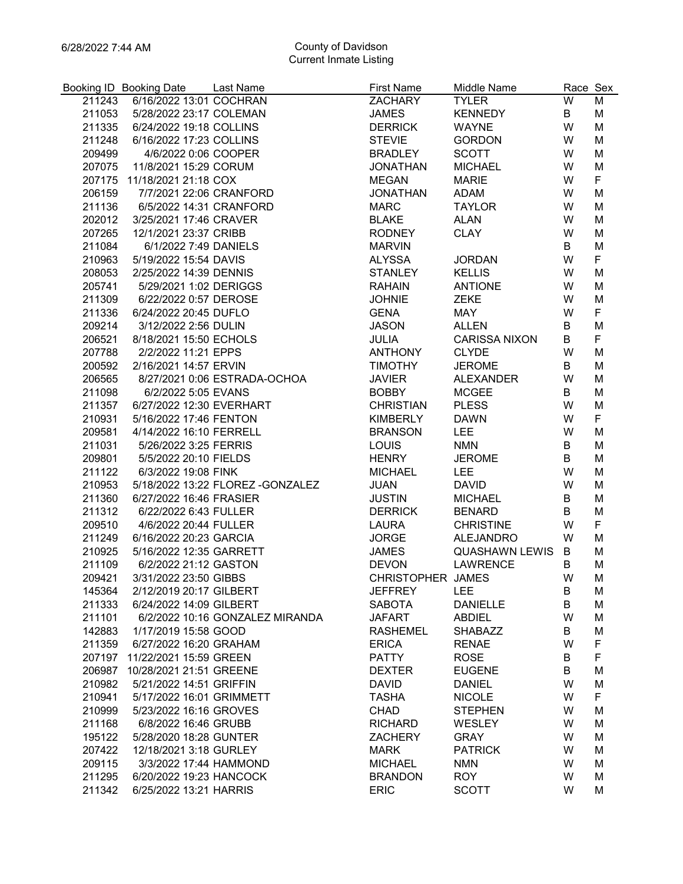|        | Booking ID Booking Date           | Last Name                        | <b>First Name</b> | Middle Name           | Race Sex |        |
|--------|-----------------------------------|----------------------------------|-------------------|-----------------------|----------|--------|
| 211243 | 6/16/2022 13:01 COCHRAN           |                                  | ZACHARY           | <b>TYLER</b>          | W        | M      |
| 211053 | 5/28/2022 23:17 COLEMAN           |                                  | <b>JAMES</b>      | <b>KENNEDY</b>        | B        | M      |
| 211335 | 6/24/2022 19:18 COLLINS           |                                  | <b>DERRICK</b>    | <b>WAYNE</b>          | W        | M      |
| 211248 | 6/16/2022 17:23 COLLINS           |                                  | <b>STEVIE</b>     | <b>GORDON</b>         | W        | M      |
| 209499 | 4/6/2022 0:06 COOPER              |                                  | <b>BRADLEY</b>    | <b>SCOTT</b>          | W        | M      |
|        | 207075 11/8/2021 15:29 CORUM      |                                  | <b>JONATHAN</b>   | <b>MICHAEL</b>        | W        | M      |
|        | 207175 11/18/2021 21:18 COX       |                                  | <b>MEGAN</b>      | <b>MARIE</b>          | W        | F      |
| 206159 | 7/7/2021 22:06 CRANFORD           |                                  | <b>JONATHAN</b>   | <b>ADAM</b>           | W        | M      |
| 211136 | 6/5/2022 14:31 CRANFORD           |                                  | <b>MARC</b>       | <b>TAYLOR</b>         | W        | M      |
| 202012 | 3/25/2021 17:46 CRAVER            |                                  | <b>BLAKE</b>      | <b>ALAN</b>           | W        | M      |
| 207265 | 12/1/2021 23:37 CRIBB             |                                  | RODNEY            | <b>CLAY</b>           | W        | M      |
| 211084 | 6/1/2022 7:49 DANIELS             |                                  | <b>MARVIN</b>     |                       | B        | M      |
| 210963 | 5/19/2022 15:54 DAVIS             |                                  | ALYSSA            | <b>JORDAN</b>         | W        | F      |
| 208053 | 2/25/2022 14:39 DENNIS            |                                  | STANLEY           | <b>KELLIS</b>         | W        | M      |
|        | 205741   5/29/2021   1:02 DERIGGS |                                  | RAHAIN            | <b>ANTIONE</b>        | W        | M      |
| 211309 | 6/22/2022 0:57 DEROSE             |                                  | <b>JOHNIE</b>     | <b>ZEKE</b>           | W        | M      |
| 211336 | 6/24/2022 20:45 DUFLO             |                                  | <b>GENA</b>       | MAY                   | W        | F      |
| 209214 | 3/12/2022 2:56 DULIN              |                                  | <b>JASON</b>      | <b>ALLEN</b>          | B        | M      |
| 206521 | 8/18/2021 15:50 ECHOLS            |                                  | <b>JULIA</b>      | <b>CARISSA NIXON</b>  | B        | F      |
| 207788 | 2/2/2022 11:21 EPPS               |                                  | ANTHONY           | <b>CLYDE</b>          | W        | M      |
| 200592 | 2/16/2021 14:57 ERVIN             |                                  | TIMOTHY           | <b>JEROME</b>         | B        | M      |
| 206565 |                                   | 8/27/2021 0:06 ESTRADA-OCHOA     | <b>JAVIER</b>     | <b>ALEXANDER</b>      | W        | M      |
| 211098 | 6/2/2022 5:05 EVANS               |                                  | <b>BOBBY</b>      | <b>MCGEE</b>          | B        | M      |
| 211357 |                                   | 6/27/2022 12:30 EVERHART         | <b>CHRISTIAN</b>  | <b>PLESS</b>          | W        | M      |
| 210931 | 5/16/2022 17:46 FENTON            |                                  | KIMBERLY          | <b>DAWN</b>           | W        | F      |
| 209581 |                                   | 4/14/2022 16:10 FERRELL          | <b>BRANSON</b>    | <b>LEE</b>            | W        | M      |
| 211031 | 5/26/2022 3:25 FERRIS             |                                  | <b>LOUIS</b>      | <b>NMN</b>            | B        | M      |
| 209801 | 5/5/2022 20:10 FIELDS             |                                  | <b>HENRY</b>      | <b>JEROME</b>         | B        | M      |
|        | 6/3/2022 19:08 FINK               |                                  |                   | <b>LEE</b>            | W        |        |
| 211122 |                                   | 5/18/2022 13:22 FLOREZ -GONZALEZ | <b>MICHAEL</b>    |                       | W        | M      |
| 210953 |                                   |                                  | <b>JUAN</b>       | <b>DAVID</b>          |          | M      |
| 211360 | 6/27/2022 16:46 FRASIER           |                                  | <b>JUSTIN</b>     | <b>MICHAEL</b>        | B        | M      |
| 211312 | 6/22/2022 6:43 FULLER             |                                  | <b>DERRICK</b>    | <b>BENARD</b>         | B        | M<br>F |
| 209510 | 4/6/2022 20:44 FULLER             |                                  | LAURA             | <b>CHRISTINE</b>      | W        |        |
| 211249 | 6/16/2022 20:23 GARCIA            |                                  | <b>JORGE</b>      | ALEJANDRO             | W        | M      |
| 210925 |                                   | 5/16/2022 12:35 GARRETT          | <b>JAMES</b>      | <b>QUASHAWN LEWIS</b> | B        | M      |
| 211109 | 6/2/2022 21:12 GASTON             |                                  | <b>DEVON</b>      | <b>LAWRENCE</b>       | B        | M      |
| 209421 | 3/31/2022 23:50 GIBBS             |                                  | CHRISTOPHER JAMES |                       | W        | М      |
| 145364 | 2/12/2019 20:17 GILBERT           |                                  | <b>JEFFREY</b>    | LEE                   | B        | M      |
| 211333 | 6/24/2022 14:09 GILBERT           |                                  | <b>SABOTA</b>     | <b>DANIELLE</b>       | B        | M      |
| 211101 |                                   | 6/2/2022 10:16 GONZALEZ MIRANDA  | <b>JAFART</b>     | <b>ABDIEL</b>         | W        | M      |
| 142883 | 1/17/2019 15:58 GOOD              |                                  | <b>RASHEMEL</b>   | <b>SHABAZZ</b>        | B        | M      |
| 211359 | 6/27/2022 16:20 GRAHAM            |                                  | <b>ERICA</b>      | <b>RENAE</b>          | W        | F      |
| 207197 | 11/22/2021 15:59 GREEN            |                                  | <b>PATTY</b>      | <b>ROSE</b>           | B        | F      |
| 206987 | 10/28/2021 21:51 GREENE           |                                  | <b>DEXTER</b>     | <b>EUGENE</b>         | B        | M      |
| 210982 | 5/21/2022 14:51 GRIFFIN           |                                  | <b>DAVID</b>      | <b>DANIEL</b>         | W        | M      |
| 210941 | 5/17/2022 16:01 GRIMMETT          |                                  | <b>TASHA</b>      | <b>NICOLE</b>         | W        | F      |
| 210999 | 5/23/2022 16:16 GROVES            |                                  | <b>CHAD</b>       | <b>STEPHEN</b>        | W        | M      |
| 211168 | 6/8/2022 16:46 GRUBB              |                                  | <b>RICHARD</b>    | WESLEY                | W        | M      |
| 195122 | 5/28/2020 18:28 GUNTER            |                                  | <b>ZACHERY</b>    | <b>GRAY</b>           | W        | M      |
| 207422 | 12/18/2021 3:18 GURLEY            |                                  | <b>MARK</b>       | <b>PATRICK</b>        | W        | M      |
| 209115 | 3/3/2022 17:44 HAMMOND            |                                  | <b>MICHAEL</b>    | <b>NMN</b>            | W        | M      |
| 211295 | 6/20/2022 19:23 HANCOCK           |                                  | <b>BRANDON</b>    | <b>ROY</b>            | W        | M      |
| 211342 | 6/25/2022 13:21 HARRIS            |                                  | <b>ERIC</b>       | <b>SCOTT</b>          | W        | М      |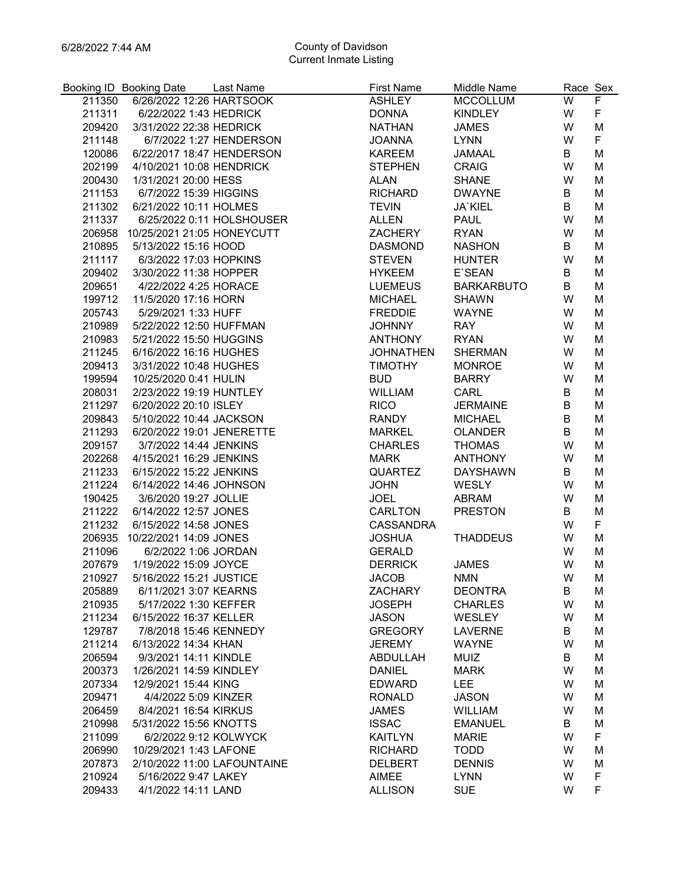|                  | Booking ID Booking Date                          | Last Name                   | <b>First Name</b>               | Middle Name                      | Race Sex |                |
|------------------|--------------------------------------------------|-----------------------------|---------------------------------|----------------------------------|----------|----------------|
| 211350           | 6/26/2022 12:26 HARTSOOK                         |                             | <b>ASHLEY</b>                   | <b>MCCOLLUM</b>                  | W        | $\overline{F}$ |
| 211311           | 6/22/2022 1:43 HEDRICK                           |                             | <b>DONNA</b>                    | <b>KINDLEY</b>                   | W        | F              |
| 209420           | 3/31/2022 22:38 HEDRICK                          |                             | <b>NATHAN</b>                   | <b>JAMES</b>                     | W        | M              |
| 211148           |                                                  | 6/7/2022 1:27 HENDERSON     | <b>JOANNA</b>                   | <b>LYNN</b>                      | W        | F              |
| 120086           | 6/22/2017 18:47 HENDERSON                        |                             | KAREEM                          | <b>JAMAAL</b>                    | B        | M              |
| 202199           | 4/10/2021 10:08 HENDRICK                         |                             | <b>STEPHEN</b>                  | <b>CRAIG</b>                     | W        | M              |
| 200430           | 1/31/2021 20:00 HESS                             |                             | <b>ALAN</b>                     | <b>SHANE</b>                     | W        | M              |
| 211153           | 6/7/2022 15:39 HIGGINS                           |                             | <b>RICHARD</b>                  | <b>DWAYNE</b>                    | B        | M              |
| 211302           | 6/21/2022 10:11 HOLMES                           |                             | <b>TEVIN</b>                    | JA`KIEL                          | B        | M              |
|                  | 211337 6/25/2022 0:11 HOLSHOUSER                 |                             | <b>ALLEN</b>                    | <b>PAUL</b>                      | W        | M              |
|                  | 206958 10/25/2021 21:05 HONEYCUTT                |                             | ZACHERY                         | <b>RYAN</b>                      | W        | M              |
| 210895           | 5/13/2022 15:16 HOOD                             |                             | <b>DASMOND</b>                  | <b>NASHON</b>                    | B        | M              |
| 211117           | 6/3/2022 17:03 HOPKINS                           |                             | <b>STEVEN</b>                   | <b>HUNTER</b>                    | W        | M              |
| 209402           | 3/30/2022 11:38 HOPPER                           |                             | <b>HYKEEM</b>                   | E`SEAN                           | B        | M              |
| 209651           | 4/22/2022 4:25 HORACE                            |                             | <b>LUEMEUS</b>                  | <b>BARKARBUTO</b>                | B        | M              |
| 199712           | 11/5/2020 17:16 HORN                             |                             | <b>MICHAEL</b>                  | <b>SHAWN</b>                     | W        | M              |
| 205743           | 5/29/2021 1:33 HUFF                              |                             | FREDDIE                         | <b>WAYNE</b>                     | W        | M              |
| 210989           | 5/22/2022 12:50 HUFFMAN                          |                             | <b>JOHNNY</b>                   | <b>RAY</b>                       | W        | M              |
| 210983           | 5/21/2022 15:50 HUGGINS                          |                             | ANTHONY                         | <b>RYAN</b>                      | W        | M              |
| 211245           | 6/16/2022 16:16 HUGHES                           |                             | <b>JOHNATHEN</b>                | <b>SHERMAN</b>                   | W        | M              |
| 209413           | 3/31/2022 10:48 HUGHES                           |                             | <b>TIMOTHY</b>                  | <b>MONROE</b>                    | W        | M              |
| 199594           | 10/25/2020 0:41 HULIN                            |                             | <b>BUD</b>                      | <b>BARRY</b>                     | W        | M              |
| 208031           | 2/23/2022 19:19 HUNTLEY                          |                             | <b>WILLIAM</b>                  | CARL                             | B        | M              |
| 211297           | 6/20/2022 20:10 ISLEY                            |                             | <b>RICO</b>                     | <b>JERMAINE</b>                  | B        | M              |
| 209843           | 5/10/2022 10:44 JACKSON                          |                             | RANDY                           | <b>MICHAEL</b>                   | B        | M              |
| 211293           | 6/20/2022 19:01 JENERETTE                        |                             | <b>MARKEL</b>                   | <b>OLANDER</b>                   | B        | M              |
| 209157           | 3/7/2022 14:44 JENKINS                           |                             | <b>CHARLES</b>                  | <b>THOMAS</b>                    | W        | M              |
| 202268           | 4/15/2021 16:29 JENKINS                          |                             | <b>MARK</b>                     | ANTHONY                          | W        | M              |
| 211233           | 6/15/2022 15:22 JENKINS                          |                             | <b>QUARTEZ</b>                  | <b>DAYSHAWN</b>                  | B        | M              |
| 211224           | 6/14/2022 14:46 JOHNSON                          |                             | <b>JOHN</b>                     | WESLY                            | W        | M              |
| 190425           | 3/6/2020 19:27 JOLLIE                            |                             | <b>JOEL</b>                     | ABRAM                            | W        | M              |
| 211222           | 6/14/2022 12:57 JONES                            |                             | CARLTON                         | <b>PRESTON</b>                   | B        | M              |
| 211232           | 6/15/2022 14:58 JONES                            |                             | CASSANDRA                       |                                  | W        | F              |
| 206935           | 10/22/2021 14:09 JONES                           |                             | <b>JOSHUA</b>                   | <b>THADDEUS</b>                  | W        | M              |
| 211096           | 6/2/2022 1:06 JORDAN                             |                             | <b>GERALD</b>                   |                                  | W        | M              |
| 207679           | 1/19/2022 15:09 JOYCE                            |                             | <b>DERRICK</b>                  | <b>JAMES</b>                     | W        | M              |
|                  |                                                  |                             |                                 |                                  | W        |                |
| 210927<br>205889 | 5/16/2022 15:21 JUSTICE<br>6/11/2021 3:07 KEARNS |                             | <b>JACOB</b>                    | <b>NMN</b>                       | B        | М              |
| 210935           | 5/17/2022 1:30 KEFFER                            |                             | <b>ZACHARY</b><br><b>JOSEPH</b> | <b>DEONTRA</b><br><b>CHARLES</b> | W        | M<br>M         |
|                  | 6/15/2022 16:37 KELLER                           |                             |                                 |                                  | W        |                |
| 211234           |                                                  |                             | <b>JASON</b>                    | <b>WESLEY</b>                    |          | M              |
| 129787           | 7/8/2018 15:46 KENNEDY                           |                             | <b>GREGORY</b>                  | <b>LAVERNE</b>                   | B        | M              |
| 211214           | 6/13/2022 14:34 KHAN                             |                             | <b>JEREMY</b>                   | <b>WAYNE</b>                     | W        | M              |
| 206594           | 9/3/2021 14:11 KINDLE                            |                             | <b>ABDULLAH</b>                 | <b>MUIZ</b>                      | B        | M              |
| 200373           | 1/26/2021 14:59 KINDLEY                          |                             | <b>DANIEL</b>                   | <b>MARK</b>                      | W        | M              |
| 207334           | 12/9/2021 15:44 KING                             |                             | <b>EDWARD</b>                   | <b>LEE</b>                       | W        | M              |
| 209471           | 4/4/2022 5:09 KINZER                             |                             | <b>RONALD</b>                   | <b>JASON</b>                     | W        | M              |
| 206459           | 8/4/2021 16:54 KIRKUS                            |                             | <b>JAMES</b>                    | <b>WILLIAM</b>                   | W        | M              |
| 210998           | 5/31/2022 15:56 KNOTTS                           |                             | <b>ISSAC</b>                    | <b>EMANUEL</b>                   | B        | M              |
| 211099           | 6/2/2022 9:12 KOLWYCK                            |                             | <b>KAITLYN</b>                  | <b>MARIE</b>                     | W        | F              |
| 206990           | 10/29/2021 1:43 LAFONE                           |                             | <b>RICHARD</b>                  | <b>TODD</b>                      | W        | M              |
| 207873           |                                                  | 2/10/2022 11:00 LAFOUNTAINE | <b>DELBERT</b>                  | <b>DENNIS</b>                    | W        | M              |
| 210924           | 5/16/2022 9:47 LAKEY                             |                             | <b>AIMEE</b>                    | <b>LYNN</b>                      | W        | F              |
| 209433           | 4/1/2022 14:11 LAND                              |                             | <b>ALLISON</b>                  | <b>SUE</b>                       | W        | F              |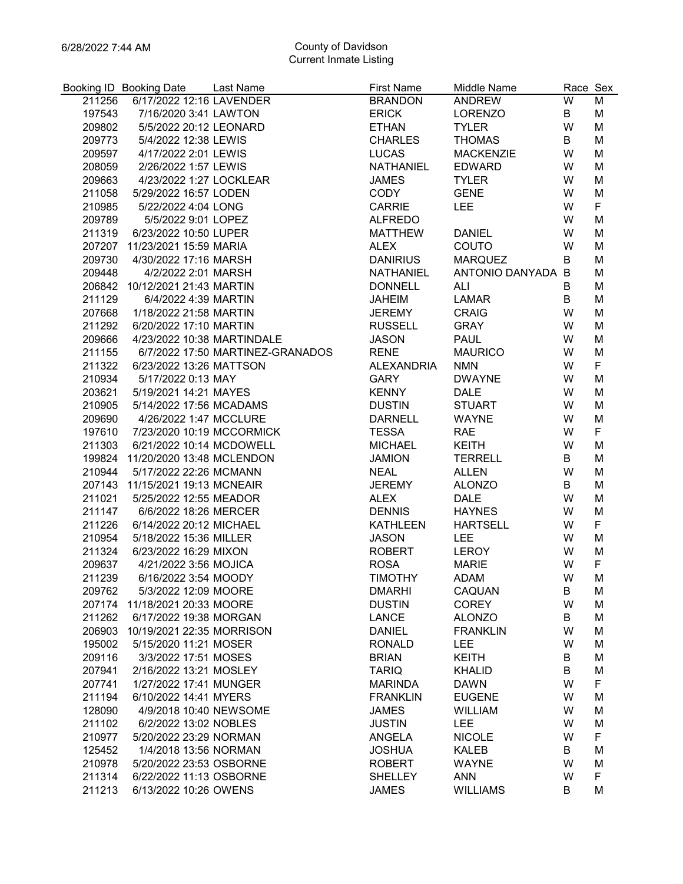|        | Booking ID Booking Date                        | Last Name                        | <b>First Name</b>              | Middle Name            | Race Sex |        |
|--------|------------------------------------------------|----------------------------------|--------------------------------|------------------------|----------|--------|
| 211256 | 6/17/2022 12:16 LAVENDER                       |                                  | <b>BRANDON</b>                 | ANDREW                 | W        | M      |
| 197543 | 7/16/2020 3:41 LAWTON                          |                                  | <b>ERICK</b>                   | <b>LORENZO</b>         | B        | M      |
| 209802 | 5/5/2022 20:12 LEONARD                         |                                  | <b>ETHAN</b>                   | <b>TYLER</b>           | W        | M      |
| 209773 | 5/4/2022 12:38 LEWIS                           |                                  | <b>CHARLES</b>                 | <b>THOMAS</b>          | B        | M      |
| 209597 | 4/17/2022 2:01 LEWIS                           |                                  | <b>LUCAS</b>                   | <b>MACKENZIE</b>       | W        | M      |
| 208059 | 2/26/2022 1:57 LEWIS                           |                                  | NATHANIEL                      | <b>EDWARD</b>          | W        | M      |
| 209663 | 4/23/2022 1:27 LOCKLEAR                        |                                  | <b>JAMES</b>                   | <b>TYLER</b>           | W        | M      |
| 211058 | 5/29/2022 16:57 LODEN                          |                                  | CODY                           | <b>GENE</b>            | W        | M      |
| 210985 | 5/22/2022 4:04 LONG                            |                                  | CARRIE                         | <b>LEE</b>             | W        | F      |
| 209789 | 5/5/2022 9:01 LOPEZ                            |                                  | ALFREDO                        |                        | W        | M      |
| 211319 | 6/23/2022 10:50 LUPER                          |                                  | <b>MATTHEW</b>                 | <b>DANIEL</b>          | W        | M      |
|        | 207207 11/23/2021 15:59 MARIA                  |                                  | <b>ALEX</b>                    | COUTO                  | W        | M      |
| 209730 | 4/30/2022 17:16 MARSH                          |                                  | <b>DANIRIUS</b>                | <b>MARQUEZ</b>         | B        | M      |
| 209448 | 4/2/2022 2:01 MARSH                            |                                  | NATHANIEL                      | ANTONIO DANYADA B      |          | M      |
|        | 206842 10/12/2021 21:43 MARTIN                 |                                  | <b>DONNELL</b>                 | ALI                    | B        | M      |
| 211129 | 6/4/2022 4:39 MARTIN                           |                                  | <b>JAHEIM</b>                  | LAMAR                  | B        | M      |
| 207668 | 1/18/2022 21:58 MARTIN                         |                                  | JEREMY                         | <b>CRAIG</b>           | W        | M      |
| 211292 | 6/20/2022 17:10 MARTIN                         |                                  | <b>RUSSELL</b>                 | GRAY                   | W        | M      |
| 209666 | 4/23/2022 10:38 MARTINDALE                     |                                  | <b>JASON</b>                   | <b>PAUL</b>            | W        | M      |
| 211155 |                                                | 6/7/2022 17:50 MARTINEZ-GRANADOS | <b>RENE</b>                    | <b>MAURICO</b>         | W        | M      |
| 211322 | 6/23/2022 13:26 MATTSON                        |                                  | <b>ALEXANDRIA</b>              | <b>NMN</b>             | W        | F      |
| 210934 | 5/17/2022 0:13 MAY                             |                                  | GARY                           | <b>DWAYNE</b>          | W        | M      |
| 203621 | 5/19/2021 14:21 MAYES                          |                                  | <b>KENNY</b>                   | <b>DALE</b>            | W        | M      |
| 210905 | 5/14/2022 17:56 MCADAMS                        |                                  | <b>DUSTIN</b>                  | <b>STUART</b>          | W        | M      |
| 209690 | 4/26/2022 1:47 MCCLURE                         |                                  | <b>DARNELL</b>                 | WAYNE                  | W        | M      |
| 197610 | 7/23/2020 10:19 MCCORMICK                      |                                  | <b>TESSA</b>                   | <b>RAE</b>             | W        | F      |
| 211303 | 6/21/2022 10:14 MCDOWELL                       |                                  | <b>MICHAEL</b>                 | KEITH                  | W        | M      |
| 199824 | 11/20/2020 13:48 MCLENDON                      |                                  | <b>JAMION</b>                  | <b>TERRELL</b>         | B        | M      |
| 210944 | 5/17/2022 22:26 MCMANN                         |                                  | <b>NEAL</b>                    | <b>ALLEN</b>           | W        | M      |
|        | 207143 11/15/2021 19:13 MCNEAIR                |                                  | <b>JEREMY</b>                  | <b>ALONZO</b>          | B        | M      |
| 211021 | 5/25/2022 12:55 MEADOR                         |                                  | <b>ALEX</b>                    | <b>DALE</b>            | W        | M      |
| 211147 | 6/6/2022 18:26 MERCER                          |                                  | <b>DENNIS</b>                  | <b>HAYNES</b>          | W        | M      |
| 211226 | 6/14/2022 20:12 MICHAEL                        |                                  | <b>KATHLEEN</b>                | <b>HARTSELL</b>        | W        | F      |
| 210954 | 5/18/2022 15:36 MILLER                         |                                  |                                |                        |          | M      |
|        |                                                |                                  | <b>JASON</b>                   | <b>LEE</b>             | W        |        |
| 211324 | 6/23/2022 16:29 MIXON                          |                                  | <b>ROBERT</b><br><b>ROSA</b>   | LEROY                  | W        | M<br>F |
| 209637 | 4/21/2022 3:56 MOJICA                          |                                  |                                | <b>MARIE</b>           | W<br>W   |        |
| 211239 | 6/16/2022 3:54 MOODY                           |                                  | <b>TIMOTHY</b>                 | ADAM                   |          | М      |
| 209762 | 5/3/2022 12:09 MOORE<br>11/18/2021 20:33 MOORE |                                  | <b>DMARHI</b><br><b>DUSTIN</b> | CAQUAN<br><b>COREY</b> | в<br>W   | M      |
| 207174 |                                                |                                  |                                |                        |          | M      |
| 211262 | 6/17/2022 19:38 MORGAN                         |                                  | <b>LANCE</b>                   | <b>ALONZO</b>          | B        | M      |
| 206903 | 10/19/2021 22:35 MORRISON                      |                                  | <b>DANIEL</b>                  | <b>FRANKLIN</b>        | W        | M      |
| 195002 | 5/15/2020 11:21 MOSER                          |                                  | <b>RONALD</b>                  | <b>LEE</b>             | W        | M      |
| 209116 | 3/3/2022 17:51 MOSES                           |                                  | <b>BRIAN</b>                   | <b>KEITH</b>           | B        | M      |
| 207941 | 2/16/2022 13:21 MOSLEY                         |                                  | <b>TARIQ</b>                   | <b>KHALID</b>          | B        | M      |
| 207741 | 1/27/2022 17:41 MUNGER                         |                                  | <b>MARINDA</b>                 | <b>DAWN</b>            | W        | F      |
| 211194 | 6/10/2022 14:41 MYERS                          |                                  | <b>FRANKLIN</b>                | <b>EUGENE</b>          | W        | M      |
| 128090 | 4/9/2018 10:40 NEWSOME                         |                                  | <b>JAMES</b>                   | <b>WILLIAM</b>         | W        | M      |
| 211102 | 6/2/2022 13:02 NOBLES                          |                                  | <b>JUSTIN</b>                  | <b>LEE</b>             | W        | M      |
| 210977 | 5/20/2022 23:29 NORMAN                         |                                  | <b>ANGELA</b>                  | <b>NICOLE</b>          | W        | F      |
| 125452 | 1/4/2018 13:56 NORMAN                          |                                  | <b>JOSHUA</b>                  | <b>KALEB</b>           | B        | M      |
| 210978 | 5/20/2022 23:53 OSBORNE                        |                                  | <b>ROBERT</b>                  | <b>WAYNE</b>           | W        | M      |
| 211314 | 6/22/2022 11:13 OSBORNE                        |                                  | <b>SHELLEY</b>                 | <b>ANN</b>             | W        | F      |
| 211213 | 6/13/2022 10:26 OWENS                          |                                  | <b>JAMES</b>                   | <b>WILLIAMS</b>        | B        | M      |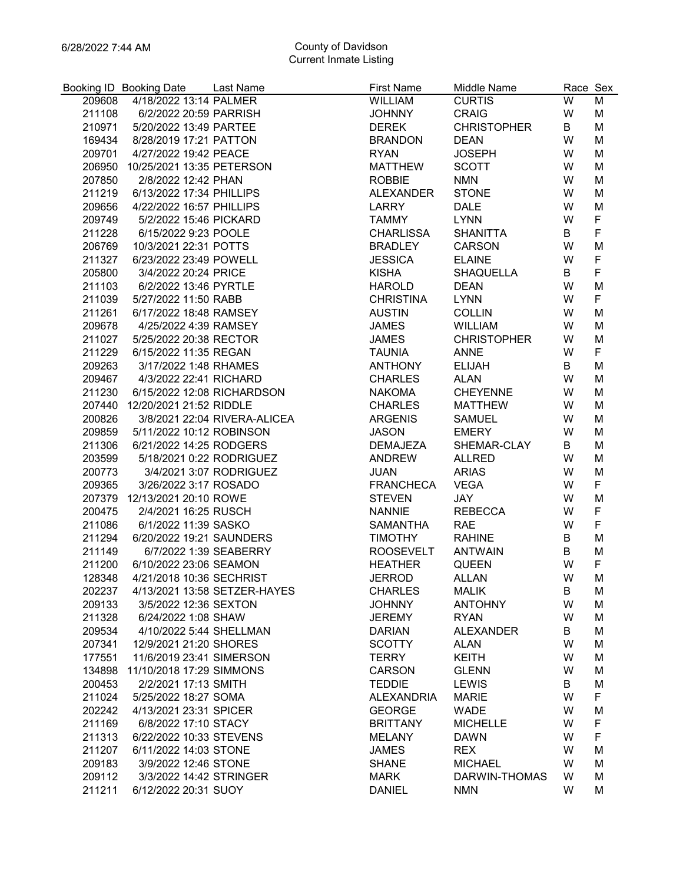|                  | Booking ID Booking Date          | Last Name                    | <b>First Name</b>           | Middle Name                     | Race Sex |             |
|------------------|----------------------------------|------------------------------|-----------------------------|---------------------------------|----------|-------------|
| 209608           | 4/18/2022 13:14 PALMER           |                              | <b>WILLIAM</b>              | <b>CURTIS</b>                   | W        | M           |
| 211108           | 6/2/2022 20:59 PARRISH           |                              | <b>JOHNNY</b>               | <b>CRAIG</b>                    | W        | M           |
| 210971           | 5/20/2022 13:49 PARTEE           |                              | <b>DEREK</b>                | <b>CHRISTOPHER</b>              | B        | M           |
| 169434           | 8/28/2019 17:21 PATTON           |                              | <b>BRANDON</b>              | <b>DEAN</b>                     | W        | M           |
|                  | 209701 4/27/2022 19:42 PEACE     |                              | <b>RYAN</b>                 | <b>JOSEPH</b>                   | W        | M           |
|                  | 206950 10/25/2021 13:35 PETERSON |                              | <b>MATTHEW</b>              | <b>SCOTT</b>                    | W        | M           |
| 207850           | 2/8/2022 12:42 PHAN              |                              | <b>ROBBIE</b>               | <b>NMN</b>                      | W        | M           |
| 211219           | 6/13/2022 17:34 PHILLIPS         |                              | ALEXANDER                   | <b>STONE</b>                    | W        | M           |
| 209656           | 4/22/2022 16:57 PHILLIPS         |                              | LARRY                       | <b>DALE</b>                     | W        | M           |
| 209749           | 5/2/2022 15:46 PICKARD           |                              | <b>TAMMY</b>                | <b>LYNN</b>                     | W        | F           |
| 211228           | 6/15/2022 9:23 POOLE             |                              | <b>CHARLISSA</b>            | <b>SHANITTA</b>                 | B        | F           |
| 206769           | 10/3/2021 22:31 POTTS            |                              | <b>BRADLEY</b>              | CARSON                          | W        | M           |
| 211327           | 6/23/2022 23:49 POWELL           |                              | <b>JESSICA</b>              | <b>ELAINE</b>                   | W        | $\mathsf F$ |
| 205800           | 3/4/2022 20:24 PRICE             |                              | <b>KISHA</b>                | <b>SHAQUELLA</b>                | B        | F           |
| 211103           | 6/2/2022 13:46 PYRTLE            |                              | <b>HAROLD</b>               | <b>DEAN</b>                     | W        | M           |
| 211039           | 5/27/2022 11:50 RABB             |                              | <b>CHRISTINA</b>            | <b>LYNN</b>                     | W        | F           |
| 211261           | 6/17/2022 18:48 RAMSEY           |                              | <b>AUSTIN</b>               | <b>COLLIN</b>                   | W        | M           |
| 209678           | 4/25/2022 4:39 RAMSEY            |                              | <b>JAMES</b>                | WILLIAM                         | W        | M           |
| 211027           | 5/25/2022 20:38 RECTOR           |                              | <b>JAMES</b>                | <b>CHRISTOPHER</b>              | W        | M           |
| 211229           | 6/15/2022 11:35 REGAN            |                              | <b>TAUNIA</b>               | ANNE                            | W        | F           |
| 209263           | 3/17/2022 1:48 RHAMES            |                              | <b>ANTHONY</b>              | <b>ELIJAH</b>                   | B        | M           |
|                  | 209467 4/3/2022 22:41 RICHARD    |                              | <b>CHARLES</b>              | <b>ALAN</b>                     | W        | M           |
| 211230           |                                  | 6/15/2022 12:08 RICHARDSON   | <b>NAKOMA</b>               | <b>CHEYENNE</b>                 | W        | M           |
|                  | 207440 12/20/2021 21:52 RIDDLE   |                              | <b>CHARLES</b>              | MATTHEW                         | W        | M           |
| 200826           |                                  | 3/8/2021 22:04 RIVERA-ALICEA | ARGENIS                     | <b>SAMUEL</b>                   | W        | M           |
| 209859           | 5/11/2022 10:12 ROBINSON         |                              | <b>JASON</b>                | <b>EMERY</b>                    | W        | M           |
| 211306           | 6/21/2022 14:25 RODGERS          |                              | DEMAJEZA                    | SHEMAR-CLAY                     | B        | M           |
| 203599           |                                  | 5/18/2021 0:22 RODRIGUEZ     | ANDREW                      | ALLRED                          | W        | M           |
| 200773           | 3/4/2021 3:07 RODRIGUEZ          |                              | <b>JUAN</b>                 | <b>ARIAS</b>                    | W        | M           |
| 209365           | 3/26/2022 3:17 ROSADO            |                              | <b>FRANCHECA</b>            | VEGA                            | W        | F           |
|                  | 207379 12/13/2021 20:10 ROWE     |                              | <b>STEVEN</b>               | JAY                             | W        | M           |
| 200475           | 2/4/2021 16:25 RUSCH             |                              | <b>NANNIE</b>               | <b>REBECCA</b>                  | W        | F           |
| 211086           | 6/1/2022 11:39 SASKO             |                              | SAMANTHA                    | <b>RAE</b>                      | W        | F           |
| 211294           | 6/20/2022 19:21 SAUNDERS         |                              | <b>TIMOTHY</b>              | <b>RAHINE</b>                   | B        | M           |
| 211149           | 6/7/2022 1:39 SEABERRY           |                              | <b>ROOSEVELT</b>            | ANTWAIN                         | B        | M           |
| 211200           | 6/10/2022 23:06 SEAMON           |                              | <b>HEATHER</b>              | <b>QUEEN</b>                    | W        | F           |
| 128348           | 4/21/2018 10:36 SECHRIST         |                              | <b>JERROD</b>               | <b>ALLAN</b>                    | W        | М           |
| 202237           |                                  | 4/13/2021 13:58 SETZER-HAYES | <b>CHARLES</b>              | <b>MALIK</b>                    | в        | M           |
| 209133           | 3/5/2022 12:36 SEXTON            |                              | <b>JOHNNY</b>               | <b>ANTOHNY</b>                  | W        | M           |
| 211328           | 6/24/2022 1:08 SHAW              |                              | <b>JEREMY</b>               | <b>RYAN</b>                     | W        | M           |
| 209534           | 4/10/2022 5:44 SHELLMAN          |                              | <b>DARIAN</b>               | <b>ALEXANDER</b>                | В        | M           |
| 207341           | 12/9/2021 21:20 SHORES           |                              | <b>SCOTTY</b>               | <b>ALAN</b>                     | W        | M           |
| 177551           | 11/6/2019 23:41 SIMERSON         |                              | <b>TERRY</b>                | <b>KEITH</b>                    | W        | M           |
| 134898           | 11/10/2018 17:29 SIMMONS         |                              | <b>CARSON</b>               | <b>GLENN</b>                    | W        | M           |
| 200453           | 2/2/2021 17:13 SMITH             |                              | <b>TEDDIE</b>               | <b>LEWIS</b>                    | B        | M           |
| 211024           | 5/25/2022 18:27 SOMA             |                              | <b>ALEXANDRIA</b>           | <b>MARIE</b>                    | W        | F           |
| 202242           | 4/13/2021 23:31 SPICER           |                              | <b>GEORGE</b>               | <b>WADE</b>                     | W        | M           |
| 211169           | 6/8/2022 17:10 STACY             |                              | <b>BRITTANY</b>             | <b>MICHELLE</b>                 | W        | F           |
| 211313           | 6/22/2022 10:33 STEVENS          |                              | <b>MELANY</b>               | <b>DAWN</b>                     | W        | F           |
| 211207           | 6/11/2022 14:03 STONE            |                              | <b>JAMES</b>                | <b>REX</b>                      | W        | M           |
|                  | 3/9/2022 12:46 STONE             |                              |                             |                                 | W        |             |
| 209183<br>209112 | 3/3/2022 14:42 STRINGER          |                              | <b>SHANE</b><br><b>MARK</b> | <b>MICHAEL</b><br>DARWIN-THOMAS | W        | M<br>M      |
|                  |                                  |                              |                             |                                 |          |             |
| 211211           | 6/12/2022 20:31 SUOY             |                              | <b>DANIEL</b>               | <b>NMN</b>                      | W        | М           |